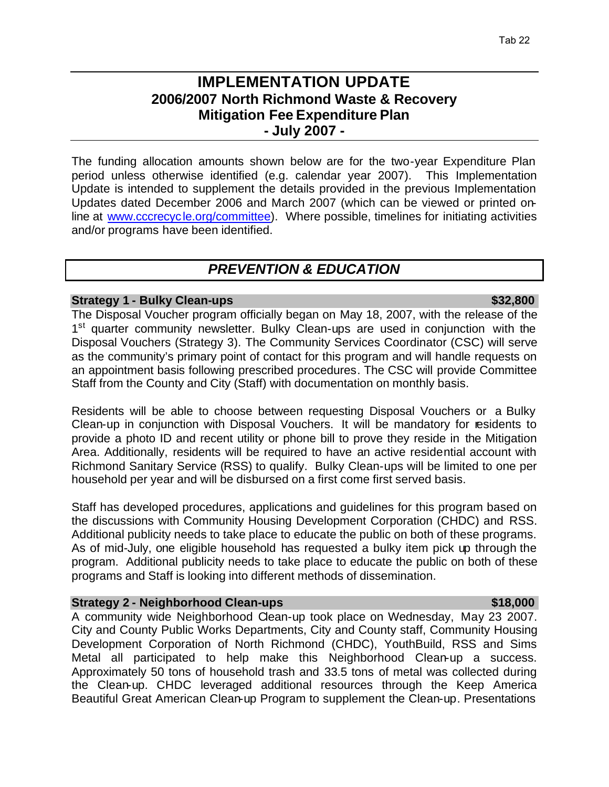# **IMPLEMENTATION UPDATE 2006/2007 North Richmond Waste & Recovery Mitigation Fee Expenditure Plan - July 2007 -**

The funding allocation amounts shown below are for the two-year Expenditure Plan period unless otherwise identified (e.g. calendar year 2007). This Implementation Update is intended to supplement the details provided in the previous Implementation Updates dated December 2006 and March 2007 (which can be viewed or printed online at www.cccrecycle.org/committee). Where possible, timelines for initiating activities and/or programs have been identified.

# *PREVENTION & EDUCATION*

# **Strategy 1 - Bulky Clean-ups \$32,800**

# The Disposal Voucher program officially began on May 18, 2007, with the release of the 1<sup>st</sup> quarter community newsletter. Bulky Clean-ups are used in conjunction with the Disposal Vouchers (Strategy 3). The Community Services Coordinator (CSC) will serve as the community's primary point of contact for this program and will handle requests on an appointment basis following prescribed procedures. The CSC will provide Committee Staff from the County and City (Staff) with documentation on monthly basis.

Residents will be able to choose between requesting Disposal Vouchers or a Bulky Clean-up in conjunction with Disposal Vouchers. It will be mandatory for residents to provide a photo ID and recent utility or phone bill to prove they reside in the Mitigation Area. Additionally, residents will be required to have an active residential account with Richmond Sanitary Service (RSS) to qualify. Bulky Clean-ups will be limited to one per household per year and will be disbursed on a first come first served basis.

Staff has developed procedures, applications and guidelines for this program based on the discussions with Community Housing Development Corporation (CHDC) and RSS. Additional publicity needs to take place to educate the public on both of these programs. As of mid-July, one eligible household has requested a bulky item pick up through the program. Additional publicity needs to take place to educate the public on both of these programs and Staff is looking into different methods of dissemination.

# **Strategy 2 - Neighborhood Clean-ups**  $\bullet$  **518,000**

# A community wide Neighborhood Clean-up took place on Wednesday, May 23 2007. City and County Public Works Departments, City and County staff, Community Housing Development Corporation of North Richmond (CHDC), YouthBuild, RSS and Sims Metal all participated to help make this Neighborhood Clean-up a success. Approximately 50 tons of household trash and 33.5 tons of metal was collected during the Clean-up. CHDC leveraged additional resources through the Keep America Beautiful Great American Clean-up Program to supplement the Clean-up. Presentations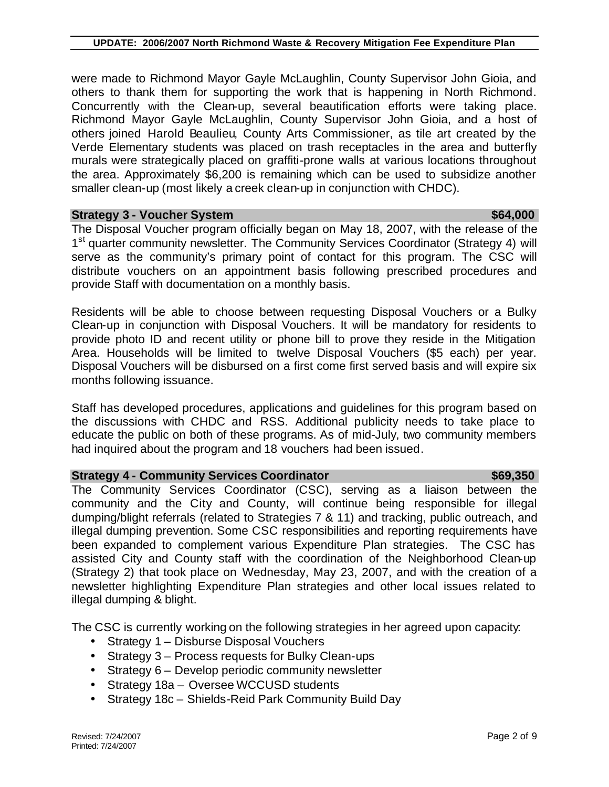were made to Richmond Mayor Gayle McLaughlin, County Supervisor John Gioia, and others to thank them for supporting the work that is happening in North Richmond. Concurrently with the Clean-up, several beautification efforts were taking place. Richmond Mayor Gayle McLaughlin, County Supervisor John Gioia, and a host of others joined Harold Beaulieu, County Arts Commissioner, as tile art created by the Verde Elementary students was placed on trash receptacles in the area and butterfly murals were strategically placed on graffiti-prone walls at various locations throughout the area. Approximately \$6,200 is remaining which can be used to subsidize another smaller clean-up (most likely a creek clean-up in conjunction with CHDC).

## **Strategy 3 - Voucher System \$64,000 \$64,000 \$64,000**

The Disposal Voucher program officially began on May 18, 2007, with the release of the 1<sup>st</sup> quarter community newsletter. The Community Services Coordinator (Strategy 4) will serve as the community's primary point of contact for this program. The CSC will distribute vouchers on an appointment basis following prescribed procedures and provide Staff with documentation on a monthly basis.

Residents will be able to choose between requesting Disposal Vouchers or a Bulky Clean-up in conjunction with Disposal Vouchers. It will be mandatory for residents to provide photo ID and recent utility or phone bill to prove they reside in the Mitigation Area. Households will be limited to twelve Disposal Vouchers (\$5 each) per year. Disposal Vouchers will be disbursed on a first come first served basis and will expire six months following issuance.

Staff has developed procedures, applications and guidelines for this program based on the discussions with CHDC and RSS. Additional publicity needs to take place to educate the public on both of these programs. As of mid-July, two community members had inquired about the program and 18 vouchers had been issued.

# **Strategy 4 - Community Services Coordinator \$69,350 \$69,350**

The Community Services Coordinator (CSC), serving as a liaison between the community and the City and County, will continue being responsible for illegal dumping/blight referrals (related to Strategies 7 & 11) and tracking, public outreach, and illegal dumping prevention. Some CSC responsibilities and reporting requirements have been expanded to complement various Expenditure Plan strategies. The CSC has assisted City and County staff with the coordination of the Neighborhood Clean-up (Strategy 2) that took place on Wednesday, May 23, 2007, and with the creation of a newsletter highlighting Expenditure Plan strategies and other local issues related to illegal dumping & blight.

The CSC is currently working on the following strategies in her agreed upon capacity:

- Strategy 1 Disburse Disposal Vouchers
- Strategy 3 Process requests for Bulky Clean-ups
- Strategy 6 Develop periodic community newsletter
- Strategy 18a Oversee WCCUSD students
- Strategy 18c Shields-Reid Park Community Build Day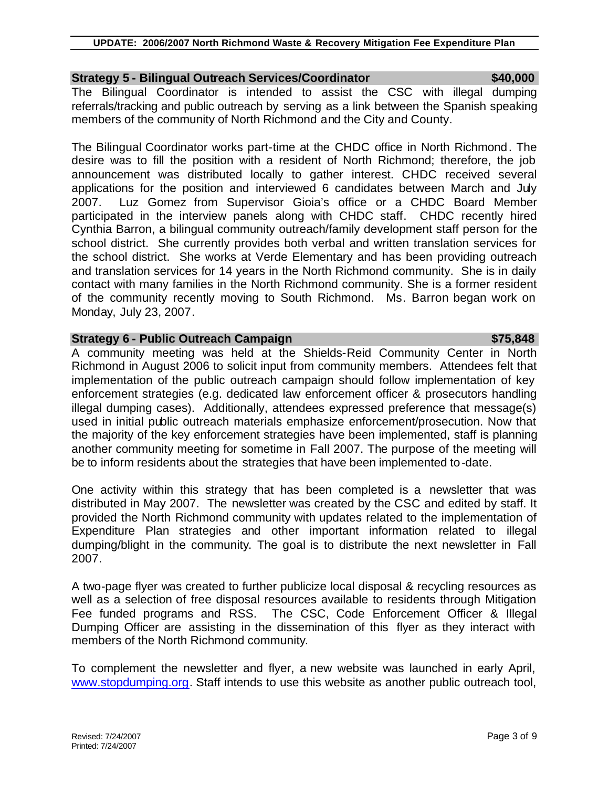# **Strategy 5 - Bilingual Outreach Services/Coordinator \$40,000**

The Bilingual Coordinator is intended to assist the CSC with illegal dumping referrals/tracking and public outreach by serving as a link between the Spanish speaking members of the community of North Richmond and the City and County.

The Bilingual Coordinator works part-time at the CHDC office in North Richmond. The desire was to fill the position with a resident of North Richmond; therefore, the job announcement was distributed locally to gather interest. CHDC received several applications for the position and interviewed 6 candidates between March and July 2007. Luz Gomez from Supervisor Gioia's office or a CHDC Board Member participated in the interview panels along with CHDC staff. CHDC recently hired Cynthia Barron, a bilingual community outreach/family development staff person for the school district. She currently provides both verbal and written translation services for the school district. She works at Verde Elementary and has been providing outreach and translation services for 14 years in the North Richmond community. She is in daily contact with many families in the North Richmond community. She is a former resident of the community recently moving to South Richmond. Ms. Barron began work on Monday, July 23, 2007.

# **Strategy 6 - Public Outreach Campaign \$75,848 \$75,848**

A community meeting was held at the Shields-Reid Community Center in North Richmond in August 2006 to solicit input from community members. Attendees felt that implementation of the public outreach campaign should follow implementation of key enforcement strategies (e.g. dedicated law enforcement officer & prosecutors handling illegal dumping cases). Additionally, attendees expressed preference that message(s) used in initial public outreach materials emphasize enforcement/prosecution. Now that the majority of the key enforcement strategies have been implemented, staff is planning another community meeting for sometime in Fall 2007. The purpose of the meeting will be to inform residents about the strategies that have been implemented to-date.

One activity within this strategy that has been completed is a newsletter that was distributed in May 2007. The newsletter was created by the CSC and edited by staff. It provided the North Richmond community with updates related to the implementation of Expenditure Plan strategies and other important information related to illegal dumping/blight in the community. The goal is to distribute the next newsletter in Fall 2007.

A two-page flyer was created to further publicize local disposal & recycling resources as well as a selection of free disposal resources available to residents through Mitigation Fee funded programs and RSS. The CSC, Code Enforcement Officer & Illegal Dumping Officer are assisting in the dissemination of this flyer as they interact with members of the North Richmond community.

To complement the newsletter and flyer, a new website was launched in early April, www.stopdumping.org. Staff intends to use this website as another public outreach tool,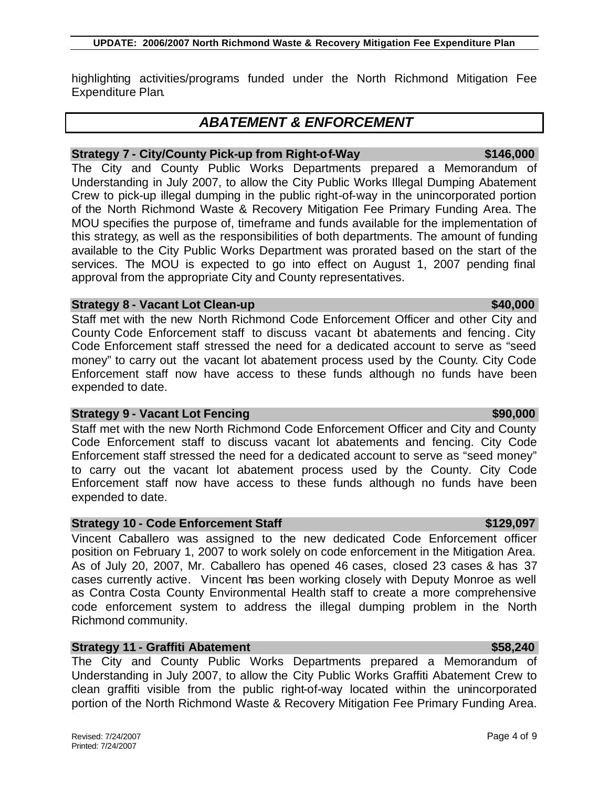# **UPDATE: 2006/2007 North Richmond Waste & Recovery Mitigation Fee Expenditure Plan**

highlighting activities/programs funded under the North Richmond Mitigation Fee Expenditure Plan.

# *ABATEMENT & ENFORCEMENT*

# **Strategy 7 - City/County Pick-up from Right-of-Way \$146,000 \$146,000**

The City and County Public Works Departments prepared a Memorandum of Understanding in July 2007, to allow the City Public Works Illegal Dumping Abatement Crew to pick-up illegal dumping in the public right-of-way in the unincorporated portion of the North Richmond Waste & Recovery Mitigation Fee Primary Funding Area. The MOU specifies the purpose of, timeframe and funds available for the implementation of this strategy, as well as the responsibilities of both departments. The amount of funding available to the City Public Works Department was prorated based on the start of the services. The MOU is expected to go into effect on August 1, 2007 pending final approval from the appropriate City and County representatives.

# **Strategy 8 - Vacant Lot Clean-up \$40,000 \$40,000**

Staff met with the new North Richmond Code Enforcement Officer and other City and County Code Enforcement staff to discuss vacant bt abatements and fencing. City Code Enforcement staff stressed the need for a dedicated account to serve as "seed money" to carry out the vacant lot abatement process used by the County. City Code Enforcement staff now have access to these funds although no funds have been expended to date.

# **Strategy 9 - Vacant Lot Fencing \$90,000 \$90,000 \$90,000**

Staff met with the new North Richmond Code Enforcement Officer and City and County Code Enforcement staff to discuss vacant lot abatements and fencing. City Code Enforcement staff stressed the need for a dedicated account to serve as "seed money" to carry out the vacant lot abatement process used by the County. City Code Enforcement staff now have access to these funds although no funds have been expended to date.

# **Strategy 10 - Code Enforcement Staff \$129,097**

Vincent Caballero was assigned to the new dedicated Code Enforcement officer position on February 1, 2007 to work solely on code enforcement in the Mitigation Area. As of July 20, 2007, Mr. Caballero has opened 46 cases, closed 23 cases & has 37 cases currently active. Vincent has been working closely with Deputy Monroe as well as Contra Costa County Environmental Health staff to create a more comprehensive code enforcement system to address the illegal dumping problem in the North Richmond community.

# **Strategy 11 - Graffiti Abatement \$58,240**

The City and County Public Works Departments prepared a Memorandum of Understanding in July 2007, to allow the City Public Works Graffiti Abatement Crew to clean graffiti visible from the public right-of-way located within the unincorporated portion of the North Richmond Waste & Recovery Mitigation Fee Primary Funding Area.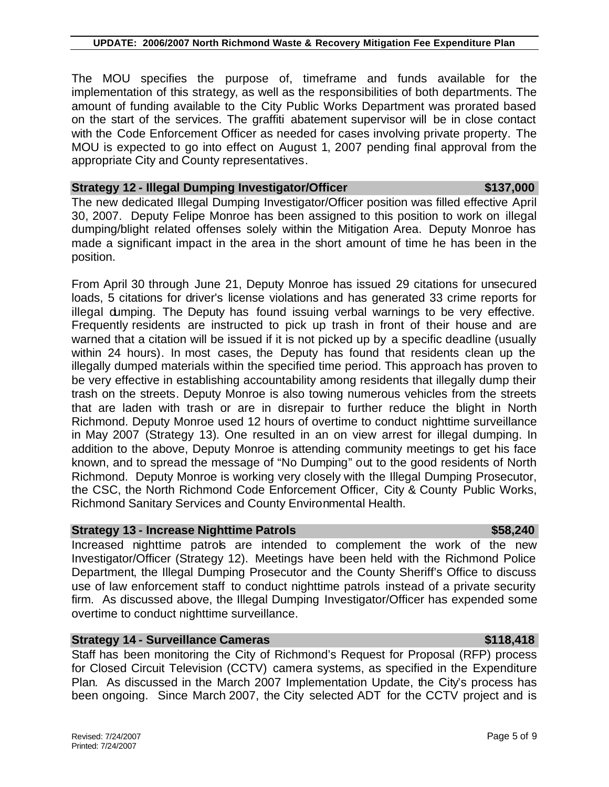The MOU specifies the purpose of, timeframe and funds available for the implementation of this strategy, as well as the responsibilities of both departments. The amount of funding available to the City Public Works Department was prorated based on the start of the services. The graffiti abatement supervisor will be in close contact with the Code Enforcement Officer as needed for cases involving private property. The MOU is expected to go into effect on August 1, 2007 pending final approval from the appropriate City and County representatives.

## **Strategy 12 - Illegal Dumping Investigator/Officer \$137,000 \$137,000**

The new dedicated Illegal Dumping Investigator/Officer position was filled effective April 30, 2007. Deputy Felipe Monroe has been assigned to this position to work on illegal dumping/blight related offenses solely within the Mitigation Area. Deputy Monroe has made a significant impact in the area in the short amount of time he has been in the position.

From April 30 through June 21, Deputy Monroe has issued 29 citations for unsecured loads, 5 citations for driver's license violations and has generated 33 crime reports for illegal dumping. The Deputy has found issuing verbal warnings to be very effective. Frequently residents are instructed to pick up trash in front of their house and are warned that a citation will be issued if it is not picked up by a specific deadline (usually within 24 hours). In most cases, the Deputy has found that residents clean up the illegally dumped materials within the specified time period. This approach has proven to be very effective in establishing accountability among residents that illegally dump their trash on the streets. Deputy Monroe is also towing numerous vehicles from the streets that are laden with trash or are in disrepair to further reduce the blight in North Richmond. Deputy Monroe used 12 hours of overtime to conduct nighttime surveillance in May 2007 (Strategy 13). One resulted in an on view arrest for illegal dumping. In addition to the above, Deputy Monroe is attending community meetings to get his face known, and to spread the message of "No Dumping" out to the good residents of North Richmond. Deputy Monroe is working very closely with the Illegal Dumping Prosecutor, the CSC, the North Richmond Code Enforcement Officer, City & County Public Works, Richmond Sanitary Services and County Environmental Health.

# **Strategy 13 - Increase Nighttime Patrols \$58,240**

# Increased nighttime patrols are intended to complement the work of the new Investigator/Officer (Strategy 12). Meetings have been held with the Richmond Police Department, the Illegal Dumping Prosecutor and the County Sheriff's Office to discuss use of law enforcement staff to conduct nighttime patrols instead of a private security firm. As discussed above, the Illegal Dumping Investigator/Officer has expended some overtime to conduct nighttime surveillance.

# **Strategy 14 - Surveillance Cameras \$118,418**

Staff has been monitoring the City of Richmond's Request for Proposal (RFP) process for Closed Circuit Television (CCTV) camera systems, as specified in the Expenditure Plan. As discussed in the March 2007 Implementation Update, the City's process has been ongoing. Since March 2007, the City selected ADT for the CCTV project and is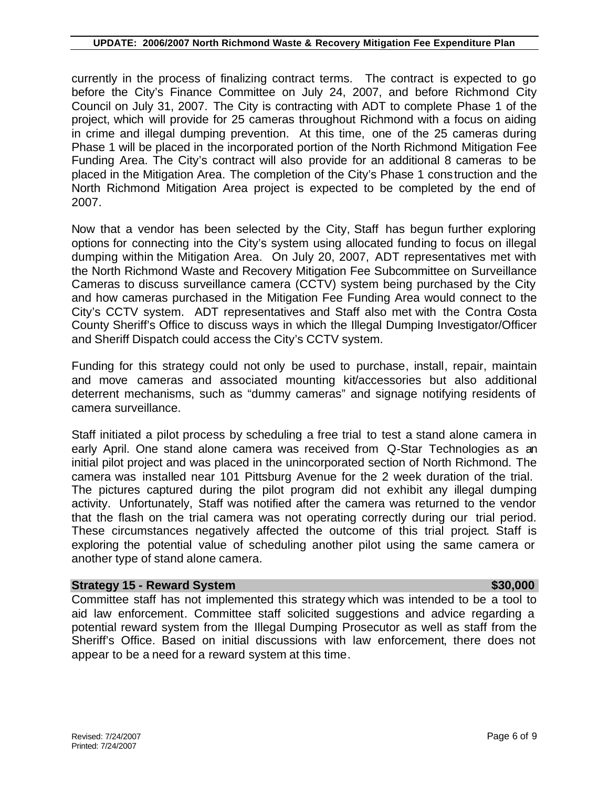currently in the process of finalizing contract terms. The contract is expected to go before the City's Finance Committee on July 24, 2007, and before Richmond City Council on July 31, 2007. The City is contracting with ADT to complete Phase 1 of the project, which will provide for 25 cameras throughout Richmond with a focus on aiding in crime and illegal dumping prevention. At this time, one of the 25 cameras during Phase 1 will be placed in the incorporated portion of the North Richmond Mitigation Fee Funding Area. The City's contract will also provide for an additional 8 cameras to be placed in the Mitigation Area. The completion of the City's Phase 1 construction and the North Richmond Mitigation Area project is expected to be completed by the end of 2007.

Now that a vendor has been selected by the City, Staff has begun further exploring options for connecting into the City's system using allocated funding to focus on illegal dumping within the Mitigation Area. On July 20, 2007, ADT representatives met with the North Richmond Waste and Recovery Mitigation Fee Subcommittee on Surveillance Cameras to discuss surveillance camera (CCTV) system being purchased by the City and how cameras purchased in the Mitigation Fee Funding Area would connect to the City's CCTV system. ADT representatives and Staff also met with the Contra Costa County Sheriff's Office to discuss ways in which the Illegal Dumping Investigator/Officer and Sheriff Dispatch could access the City's CCTV system.

Funding for this strategy could not only be used to purchase, install, repair, maintain and move cameras and associated mounting kit/accessories but also additional deterrent mechanisms, such as "dummy cameras" and signage notifying residents of camera surveillance.

Staff initiated a pilot process by scheduling a free trial to test a stand alone camera in early April. One stand alone camera was received from Q-Star Technologies as an initial pilot project and was placed in the unincorporated section of North Richmond. The camera was installed near 101 Pittsburg Avenue for the 2 week duration of the trial. The pictures captured during the pilot program did not exhibit any illegal dumping activity. Unfortunately, Staff was notified after the camera was returned to the vendor that the flash on the trial camera was not operating correctly during our trial period. These circumstances negatively affected the outcome of this trial project. Staff is exploring the potential value of scheduling another pilot using the same camera or another type of stand alone camera.

# **Strategy** 15 - Reward System **\$30,000 \$30,000**

Committee staff has not implemented this strategy which was intended to be a tool to aid law enforcement. Committee staff solicited suggestions and advice regarding a potential reward system from the Illegal Dumping Prosecutor as well as staff from the Sheriff's Office. Based on initial discussions with law enforcement, there does not appear to be a need for a reward system at this time.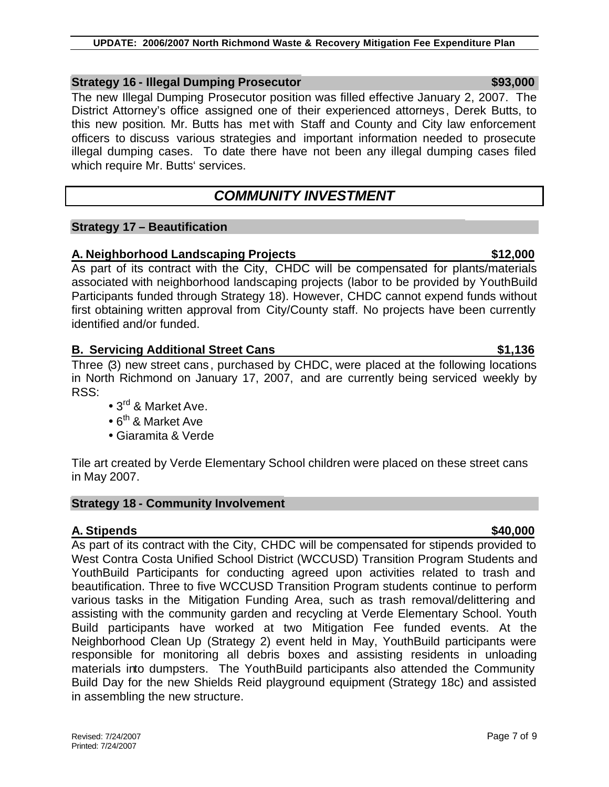# **Strategy 16 - Illegal Dumping Prosecutor \$93,000**

The new Illegal Dumping Prosecutor position was filled effective January 2, 2007. The District Attorney's office assigned one of their experienced attorneys, Derek Butts, to this new position. Mr. Butts has met with Staff and County and City law enforcement officers to discuss various strategies and important information needed to prosecute illegal dumping cases. To date there have not been any illegal dumping cases filed which require Mr. Butts' services.

# *COMMUNITY INVESTMENT*

# **Strategy 17 – Beautification**

# **A. Neighborhood Landscaping Projects \$12,000**

As part of its contract with the City, CHDC will be compensated for plants/materials associated with neighborhood landscaping projects (labor to be provided by YouthBuild Participants funded through Strategy 18). However, CHDC cannot expend funds without first obtaining written approval from City/County staff. No projects have been currently identified and/or funded.

# **B. Servicing Additional Street Cans 6. Community 1.136**

Three (3) new street cans, purchased by CHDC, were placed at the following locations in North Richmond on January 17, 2007, and are currently being serviced weekly by RSS:

- 3<sup>rd</sup> & Market Ave.
- 6<sup>th</sup> & Market Ave
- Giaramita & Verde

Tile art created by Verde Elementary School children were placed on these street cans in May 2007.

# **Strategy 18 - Community Involvement**

# **A. Stipends \$40,000**

As part of its contract with the City, CHDC will be compensated for stipends provided to West Contra Costa Unified School District (WCCUSD) Transition Program Students and YouthBuild Participants for conducting agreed upon activities related to trash and beautification. Three to five WCCUSD Transition Program students continue to perform various tasks in the Mitigation Funding Area, such as trash removal/delittering and assisting with the community garden and recycling at Verde Elementary School. Youth Build participants have worked at two Mitigation Fee funded events. At the Neighborhood Clean Up (Strategy 2) event held in May, YouthBuild participants were responsible for monitoring all debris boxes and assisting residents in unloading materials into dumpsters. The YouthBuild participants also attended the Community Build Day for the new Shields Reid playground equipment (Strategy 18c) and assisted in assembling the new structure.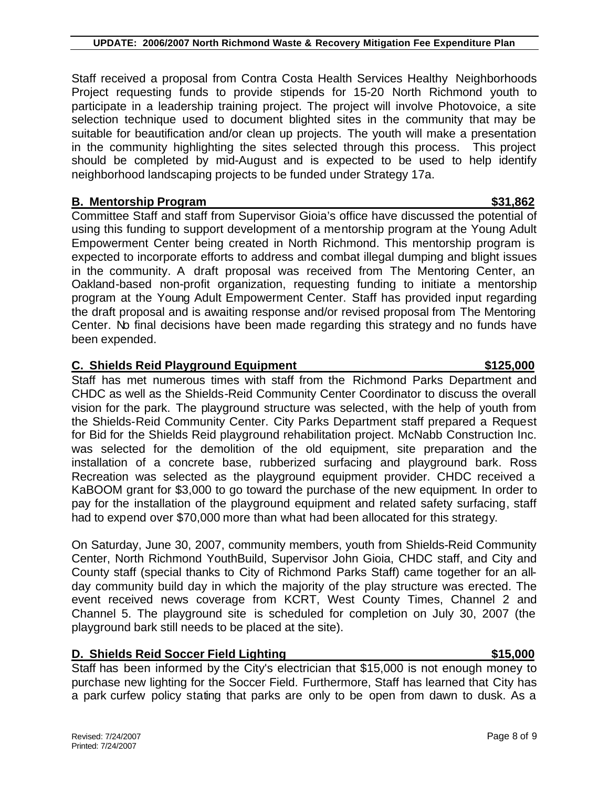Staff received a proposal from Contra Costa Health Services Healthy Neighborhoods Project requesting funds to provide stipends for 15-20 North Richmond youth to participate in a leadership training project. The project will involve Photovoice, a site selection technique used to document blighted sites in the community that may be suitable for beautification and/or clean up projects. The youth will make a presentation in the community highlighting the sites selected through this process. This project should be completed by mid-August and is expected to be used to help identify neighborhood landscaping projects to be funded under Strategy 17a.

# **B. Mentorship Program 631,862**

Committee Staff and staff from Supervisor Gioia's office have discussed the potential of using this funding to support development of a mentorship program at the Young Adult Empowerment Center being created in North Richmond. This mentorship program is expected to incorporate efforts to address and combat illegal dumping and blight issues in the community. A draft proposal was received from The Mentoring Center, an Oakland-based non-profit organization, requesting funding to initiate a mentorship program at the Young Adult Empowerment Center. Staff has provided input regarding the draft proposal and is awaiting response and/or revised proposal from The Mentoring Center. No final decisions have been made regarding this strategy and no funds have been expended.

# **C. Shields Reid Playground Equipment 6. Shields Reid Playground Equipment 6. Shields Australian Communist Communist Communist Communist Communist Communist Communist Communist Communist Communist Communist Communist Commu**

Staff has met numerous times with staff from the Richmond Parks Department and CHDC as well as the Shields-Reid Community Center Coordinator to discuss the overall vision for the park. The playground structure was selected, with the help of youth from the Shields-Reid Community Center. City Parks Department staff prepared a Request for Bid for the Shields Reid playground rehabilitation project. McNabb Construction Inc. was selected for the demolition of the old equipment, site preparation and the installation of a concrete base, rubberized surfacing and playground bark. Ross Recreation was selected as the playground equipment provider. CHDC received a KaBOOM grant for \$3,000 to go toward the purchase of the new equipment. In order to pay for the installation of the playground equipment and related safety surfacing, staff had to expend over \$70,000 more than what had been allocated for this strategy.

On Saturday, June 30, 2007, community members, youth from Shields-Reid Community Center, North Richmond YouthBuild, Supervisor John Gioia, CHDC staff, and City and County staff (special thanks to City of Richmond Parks Staff) came together for an allday community build day in which the majority of the play structure was erected. The event received news coverage from KCRT, West County Times, Channel 2 and Channel 5. The playground site is scheduled for completion on July 30, 2007 (the playground bark still needs to be placed at the site).

# **D. Shields Reid Soccer Field Lighting 615,000 \$15,000**

Staff has been informed by the City's electrician that \$15,000 is not enough money to purchase new lighting for the Soccer Field. Furthermore, Staff has learned that City has a park curfew policy stating that parks are only to be open from dawn to dusk. As a